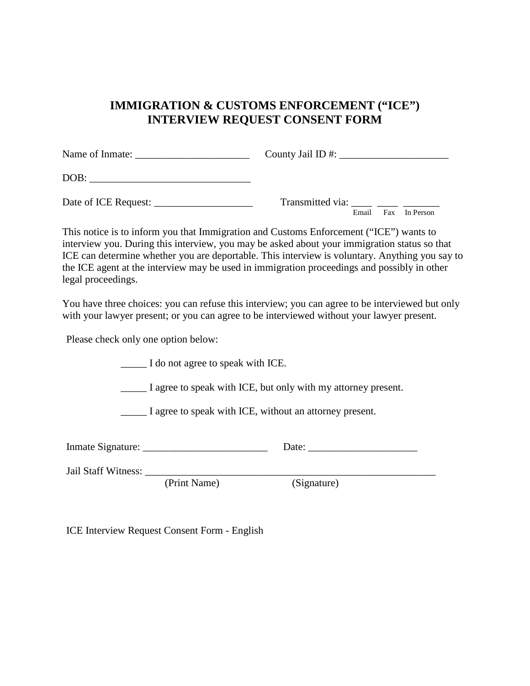## **IMMIGRATION & CUSTOMS ENFORCEMENT ("ICE") INTERVIEW REQUEST CONSENT FORM**

|                      | County Jail ID #: $\_\_\_\_\_\_\_\_\_\_\_\_\_\_\_\_\_\_\_\_\_\_$ |
|----------------------|------------------------------------------------------------------|
| DOB:                 |                                                                  |
| Date of ICE Request: | Transmitted via: _____ ____ _____<br>Email<br>Fax In Person      |

This notice is to inform you that Immigration and Customs Enforcement ("ICE") wants to interview you. During this interview, you may be asked about your immigration status so that ICE can determine whether you are deportable. This interview is voluntary. Anything you say to the ICE agent at the interview may be used in immigration proceedings and possibly in other legal proceedings.

You have three choices: you can refuse this interview; you can agree to be interviewed but only with your lawyer present; or you can agree to be interviewed without your lawyer present.

Please check only one option below:

\_\_\_\_\_ I do not agree to speak with ICE.

\_\_\_\_\_ I agree to speak with ICE, but only with my attorney present.

\_\_\_\_\_ I agree to speak with ICE, without an attorney present.

| Inmate Signature: |  |  |
|-------------------|--|--|
|                   |  |  |

| Jail Staff Witness: |  |
|---------------------|--|
|---------------------|--|

(Print Name) (Signature)

ICE Interview Request Consent Form - English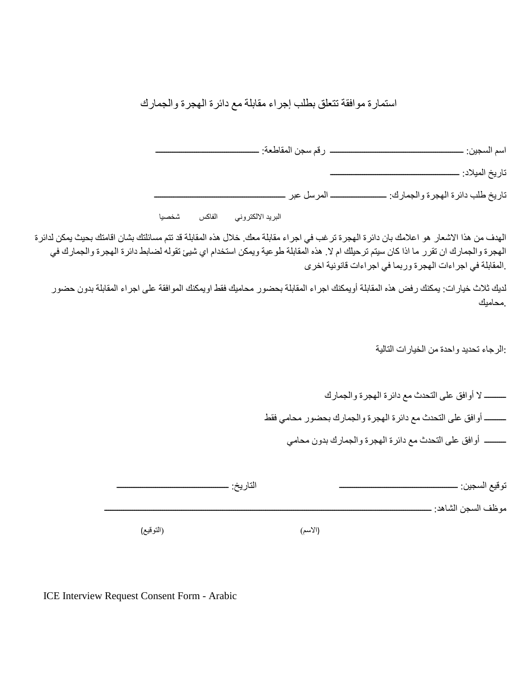استمارة موافقة تتعلق بطلب إجراء مقابلة مع دائرة الھجرة والجمارك

اسم السجین: ــــــــــــــــــــــــــــــــــــــــــــــــــــــــــــــ رقم سجن المقاطعة: ــــــــــــــــــــــــــــــــــــــــــــــــ

تاریخ المیلاد: ــــــــــــــــــــــــــــــــــــــــــــــــــــــــــــ

تاریخ طلب دائرة الھجرة والجمارك: ــــــــــــــــــــــــــ المرسل عبر ـــــــــــــــــــــــــــــــــــــــــــــــــــــــــــــ

البرید الالكتروني الفاكس شخصیا

الھدف من ھذا الاشعار ھو اعلامك بان دائرة الھجرة ترغب في اجراء مقابلة معك. خلال ھذه المقابلة قد تتم مسائلتك بشان اقامتك بحیث یمكن لدائرة الھجرة والجمارك ان تقرر ما اذا كان سیتم ترحیلك ام لا. ھذه المقابلة طوعیة ویمكن استخدام اي شیئ تقولھ لضابط دائرة الھجرة والجمارك في .المقابلة في اجراءات الھجرة وربما في اجراءات قانونیة اخرى

لدیك ثلاث خیارات: یمكنك رفض ھذه المقابلة أویمكنك اجراء المقابلة بحضور محامیك فقط اویمكنك الموافقة على اجراء المقابلة بدون حضور .محامیك

:الرجاء تحدید واحدة من الخیارات التالیة

 ــــــــــ لا أوافق على التحدث مع دائرة الھجرة والجمارك ــــــــــ أوافق على التحدث مع دائرة الھجرة والجمارك بحضور محامي فقط ــــــــــ أوافق على التحدث مع دائرة الھجرة والجمارك بدون محامي

| توقيع السجين: _      | التاريخ: |  |           |
|----------------------|----------|--|-----------|
| موظف السجن الشاهد: . |          |  |           |
|                      | (الاسم)  |  | (التوقيع) |

ICE Interview Request Consent Form - Arabic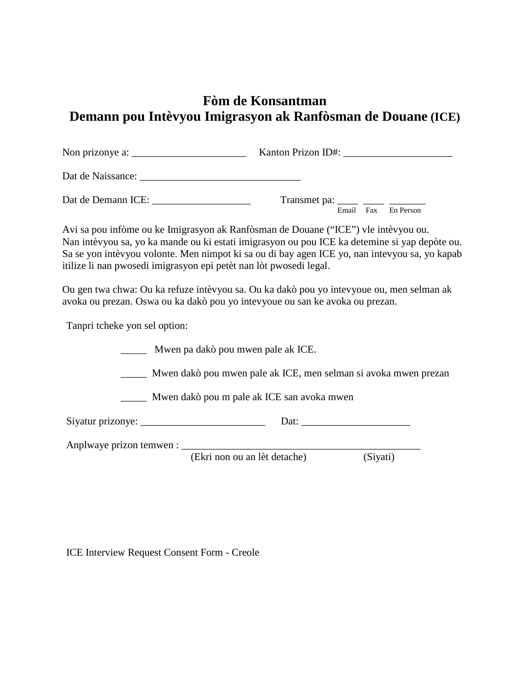# **Fòm de Konsantman Demann pou Intèvyou Imigrasyon ak Ranfòsman de Douane (ICE)**

| Kanton Prizon ID#:                                      |
|---------------------------------------------------------|
|                                                         |
| Transmet pa: _____ ____ _____<br>Email Fax<br>En Person |

Avi sa pou infòme ou ke Imigrasyon ak Ranfòsman de Douane ("ICE") vle intèvyou ou. Nan intèvyou sa, yo ka mande ou ki estati imigrasyon ou pou ICE ka detemine si yap depòte ou. Sa se yon intèvyou volonte. Men nimpot ki sa ou di bay agen ICE yo, nan intevyou sa, yo kapab itilize li nan pwosedi imigrasyon epi petèt nan lòt pwosedi legal.

Ou gen twa chwa: Ou ka refuze intèvyou sa. Ou ka dakò pou yo intevyoue ou, men selman ak avoka ou prezan. Oswa ou ka dakò pou yo intevyoue ou san ke avoka ou prezan.

Tanpri tcheke yon sel option:

|                                                                 | Mwen pa dakò pou mwen pale ak ICE. |          |  |
|-----------------------------------------------------------------|------------------------------------|----------|--|
| Mwen dakò pou mwen pale ak ICE, men selman si avoka mwen prezan |                                    |          |  |
| Mwen dakò pou m pale ak ICE san avoka mwen                      |                                    |          |  |
|                                                                 |                                    |          |  |
|                                                                 |                                    |          |  |
|                                                                 | (Ekri non ou an lèt detache)       | (Siyati) |  |

ICE Interview Request Consent Form - Creole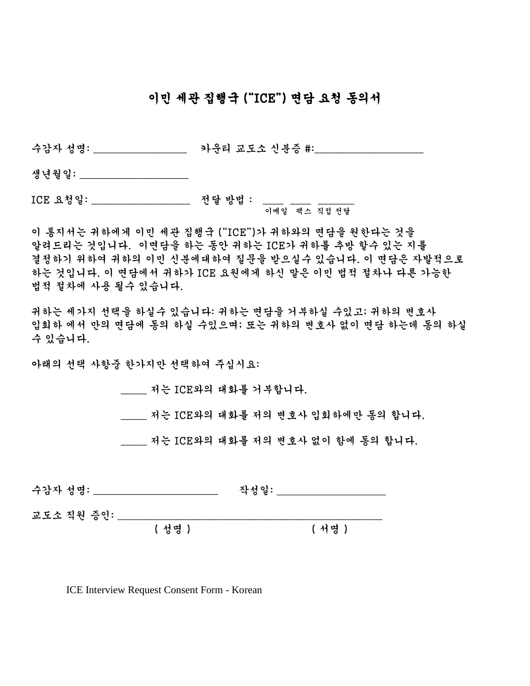## 이민 세관 집행국 ("ICE") 면담 요청 동의서

수감자 성명: \_\_\_\_\_\_\_\_\_\_\_\_\_\_\_\_\_\_ 카운티 교도소 신분증 #:\_\_\_\_\_\_\_\_\_\_\_\_\_\_\_\_\_\_\_\_\_

생년월일: \_\_\_\_\_\_\_\_\_\_\_\_\_\_\_\_\_\_\_\_

ICE 요청일: \_\_\_\_\_\_\_\_\_\_\_\_\_\_\_\_\_\_\_\_\_ 전달 방법 : \_\_\_\_ \_\_\_\_ \_\_\_\_\_\_\_ 이메일 팩스 직접 전달

이 통지서는 귀하에게 이민 세관 집행국 ("ICE")가 귀하와의 면담을 원한다는 것을 알려드리는 것입니다. 이면담을 하는 동안 귀하는 ICE가 귀하를 추방 할수 있는 지를 결정하기 위하여 귀하의 이민 신분에대하여 질문을 받으실수 있습니다. 이 면담은 자발적으로 하는 것입니다. 이 면담에서 귀하가 ICE 요원에게 하신 말은 이민 법적 절차나 다른 가능한 법적 절차에 사용 될수 있습니다.

귀하는 세가지 선택을 하실수 있습니다: 귀하는 면담을 거부하실 수있고; 귀하의 변호사 입회하 에서 만의 면담에 동의 하실 수있으며; 또는 귀하의 변호사 없이 면담 하는데 동의 하실 수 있습니다.

아래의 선택 사항중 한가지만 선택하여 주십시요:

\_\_\_\_\_ 저는 ICE와의 대화를 거부합니다.

\_\_\_\_\_ 저는 ICE와의 대화를 저의 변호사 입회하에만 동의 합니다.

저는 ICE와의 대화를 저의 변호사 없이 함에 동의 합니다.

| 수감자 성명:    | 작성일: |
|------------|------|
| ㅋㄷㅅ 지의 즈이· |      |

교노그 식전 ㅎㄴ· \_\_\_\_

( 성명 ) ( 서명 )

ICE Interview Request Consent Form - Korean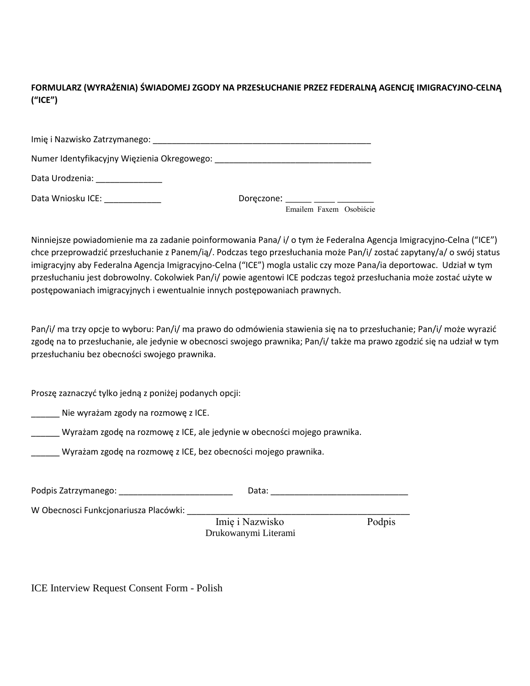**FORMULARZ (WYRAŻENIA) ŚWIADOMEJ ZGODY NA PRZESŁUCHANIE PRZEZ FEDERALNĄ AGENCJĘ IMIGRACYJNO-CELNĄ ("ICE")**

| Data Wniosku ICE: National Annual | Doreczone: will be a controlled by the control of the control of the control of the control of the control of the control of the control of the control of the control of the control of the control of the control of the con |
|-----------------------------------|--------------------------------------------------------------------------------------------------------------------------------------------------------------------------------------------------------------------------------|

Emailem Faxem Osobiście

Ninniejsze powiadomienie ma za zadanie poinformowania Pana/ i/ o tym że Federalna Agencja Imigracyjno-Celna ("ICE") chce przeprowadzić przesłuchanie z Panem/ią/. Podczas tego przesłuchania może Pan/i/ zostać zapytany/a/ o swój status imigracyjny aby Federalna Agencja Imigracyjno-Celna ("ICE") mogla ustalic czy moze Pana/ia deportowac. Udział w tym przesłuchaniu jest dobrowolny. Cokolwiek Pan/i/ powie agentowi ICE podczas tegoż przesłuchania może zostać użyte w postępowaniach imigracyjnych i ewentualnie innych postępowaniach prawnych.

Pan/i/ ma trzy opcje to wyboru: Pan/i/ ma prawo do odmówienia stawienia się na to przesłuchanie; Pan/i/ może wyrazić zgodę na to przesłuchanie, ale jedynie w obecnosci swojego prawnika; Pan/i/ także ma prawo zgodzić się na udział w tym przesłuchaniu bez obecności swojego prawnika.

Proszę zaznaczyć tylko jedną z poniżej podanych opcji:

\_\_\_\_\_\_ Nie wyrażam zgody na rozmowę z ICE.

\_\_\_\_\_\_ Wyrażam zgodę na rozmowę z ICE, ale jedynie w obecności mojego prawnika.

\_\_\_\_\_\_ Wyrażam zgodę na rozmowę z ICE, bez obecności mojego prawnika.

| Podpis Zatrzymanego: | Data: |
|----------------------|-------|
|                      |       |

W Obecnosci Funkcjonariusza Placówki:

 Imię i Nazwisko Podpis Drukowanymi Literami

ICE Interview Request Consent Form - Polish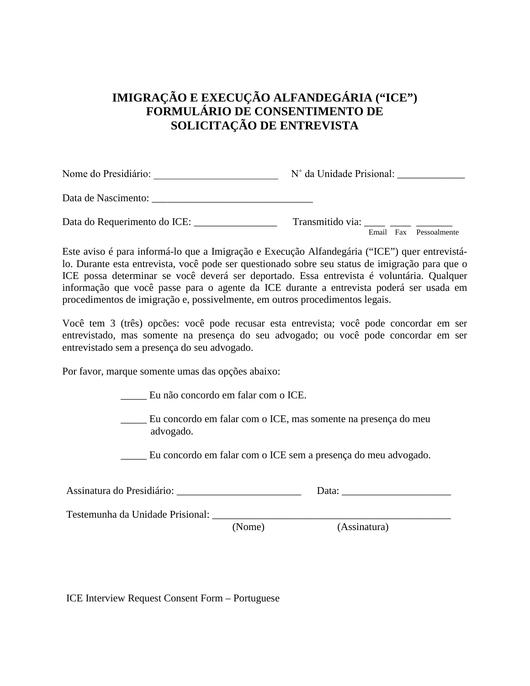# **IMIGRAÇÃO E EXECUÇÃO ALFANDEGÁRIA ("ICE") FORMULÁRIO DE CONSENTIMENTO DE SOLICITAÇÃO DE ENTREVISTA**

| Nome do Presidiário: | N° da Unidade Prisional: |  |
|----------------------|--------------------------|--|
| Data de Nascimento:  |                          |  |

Email Fax Pessoalmente Data do Requerimento do ICE: \_\_\_\_\_\_\_\_\_\_\_\_\_\_\_\_ Transmitido via: \_\_\_\_ \_\_\_\_ \_\_\_\_\_\_\_

Este aviso é para informá-lo que a Imigração e Execução Alfandegária ("ICE") quer entrevistálo. Durante esta entrevista, você pode ser questionado sobre seu status de imigração para que o ICE possa determinar se você deverá ser deportado. Essa entrevista é voluntária. Qualquer informação que você passe para o agente da ICE durante a entrevista poderá ser usada em procedimentos de imigração e, possivelmente, em outros procedimentos legais.

Você tem 3 (três) opcões: você pode recusar esta entrevista; você pode concordar em ser entrevistado, mas somente na presença do seu advogado; ou você pode concordar em ser entrevistado sem a presença do seu advogado.

Por favor, marque somente umas das opções abaixo:

\_\_\_\_\_ Eu não concordo em falar com o ICE.

\_\_\_\_\_ Eu concordo em falar com o ICE, mas somente na presença do meu advogado.

\_\_\_\_\_ Eu concordo em falar com o ICE sem a presença do meu advogado.

| Assinatura do Presidiário: |  |
|----------------------------|--|
|----------------------------|--|

Testemunha da Unidade Prisional: \_\_\_\_\_\_\_\_\_\_\_\_\_\_\_\_\_\_\_\_\_\_\_\_\_\_\_\_\_\_\_\_\_\_\_\_\_\_\_\_\_\_\_\_\_\_

(Nome) (Assinatura)

ICE Interview Request Consent Form – Portuguese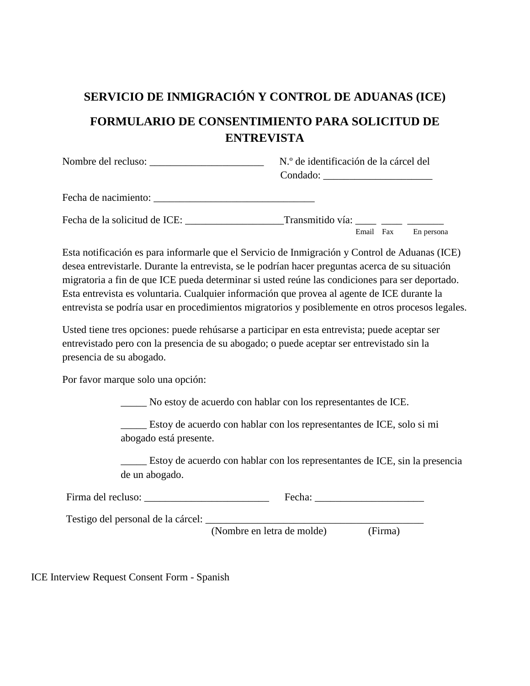# **SERVICIO DE INMIGRACIÓN Y CONTROL DE ADUANAS (ICE) FORMULARIO DE CONSENTIMIENTO PARA SOLICITUD DE ENTREVISTA**

| Nombre del recluso:           | N.º de identificación de la cárcel del<br>Condado: |
|-------------------------------|----------------------------------------------------|
| Fecha de nacimiento:          |                                                    |
| Fecha de la solicitud de ICE: | Transmitido vía:                                   |

Esta notificación es para informarle que el Servicio de Inmigración y Control de Aduanas (ICE) desea entrevistarle. Durante la entrevista, se le podrían hacer preguntas acerca de su situación migratoria a fin de que ICE pueda determinar si usted reúne las condiciones para ser deportado. Esta entrevista es voluntaria. Cualquier información que provea al agente de ICE durante la entrevista se podría usar en procedimientos migratorios y posiblemente en otros procesos legales.

Usted tiene tres opciones: puede rehúsarse a participar en esta entrevista; puede aceptar ser entrevistado pero con la presencia de su abogado; o puede aceptar ser entrevistado sin la presencia de su abogado.

Por favor marque solo una opción:

\_\_\_\_\_ No estoy de acuerdo con hablar con los representantes de ICE.

\_\_\_\_\_ Estoy de acuerdo con hablar con los representantes de ICE, solo si mi abogado está presente.

\_\_\_\_\_ Estoy de acuerdo con hablar con los representantes de ICE, sin la presencia de un abogado.

| Firma del recluso:<br>recha: |  |
|------------------------------|--|
|------------------------------|--|

Testigo del personal de la cárcel:

(Nombre en letra de molde) (Firma)

Email Fax En persona

ICE Interview Request Consent Form - Spanish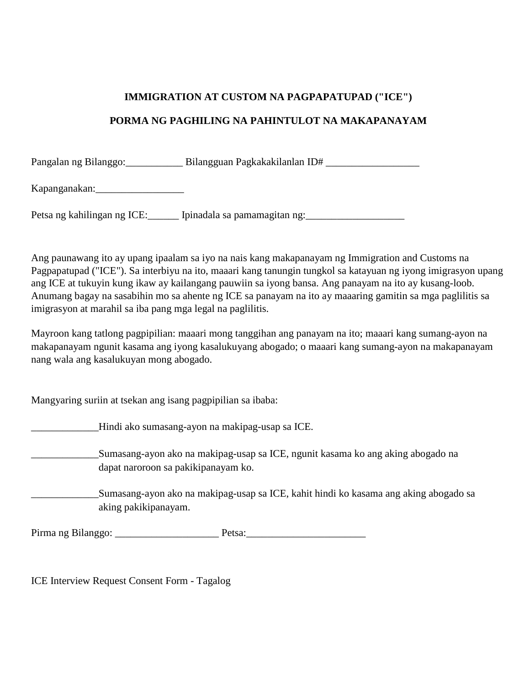#### **IMMIGRATION AT CUSTOM NA PAGPAPATUPAD ("ICE")**

#### **PORMA NG PAGHILING NA PAHINTULOT NA MAKAPANAYAM**

Pangalan ng Bilanggo: Bilangguan Pagkakakilanlan ID#

Kapanganakan:\_\_\_\_\_\_\_\_\_\_\_\_\_\_\_\_\_

Petsa ng kahilingan ng ICE:\_\_\_\_\_\_\_ Ipinadala sa pamamagitan ng:\_\_\_\_\_\_\_\_\_\_\_\_\_\_\_\_\_\_

Ang paunawang ito ay upang ipaalam sa iyo na nais kang makapanayam ng Immigration and Customs na Pagpapatupad ("ICE"). Sa interbiyu na ito, maaari kang tanungin tungkol sa katayuan ng iyong imigrasyon upang ang ICE at tukuyin kung ikaw ay kailangang pauwiin sa iyong bansa. Ang panayam na ito ay kusang-loob. Anumang bagay na sasabihin mo sa ahente ng ICE sa panayam na ito ay maaaring gamitin sa mga paglilitis sa imigrasyon at marahil sa iba pang mga legal na paglilitis.

Mayroon kang tatlong pagpipilian: maaari mong tanggihan ang panayam na ito; maaari kang sumang-ayon na makapanayam ngunit kasama ang iyong kasalukuyang abogado; o maaari kang sumang-ayon na makapanayam nang wala ang kasalukuyan mong abogado.

Mangyaring suriin at tsekan ang isang pagpipilian sa ibaba:

\_\_\_\_\_\_\_\_\_\_\_\_\_Hindi ako sumasang-ayon na makipag-usap sa ICE.

\_\_\_\_\_\_\_\_\_\_\_\_\_Sumasang-ayon ako na makipag-usap sa ICE, ngunit kasama ko ang aking abogado na dapat naroroon sa pakikipanayam ko.

\_\_\_\_\_\_\_\_\_\_\_\_\_Sumasang-ayon ako na makipag-usap sa ICE, kahit hindi ko kasama ang aking abogado sa aking pakikipanayam.

Pirma ng Bilanggo: \_\_\_\_\_\_\_\_\_\_\_\_\_\_\_\_\_\_\_\_ Petsa:\_\_\_\_\_\_\_\_\_\_\_\_\_\_\_\_\_\_\_\_\_\_\_

ICE Interview Request Consent Form - Tagalog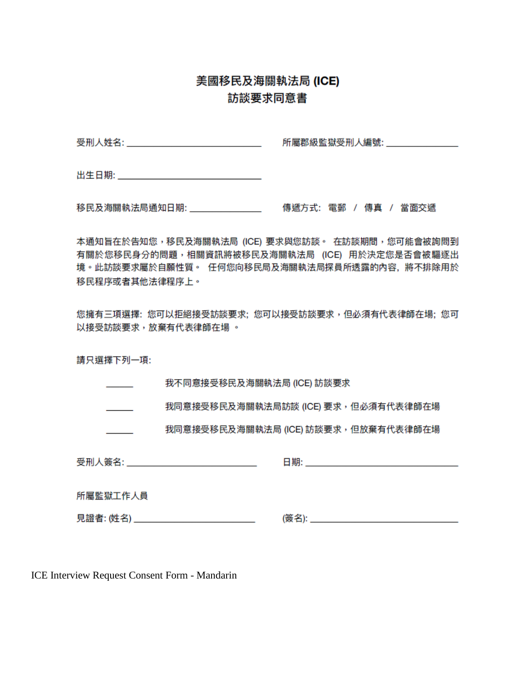# 美國移民及海關執法局 (ICE) 訪談要求同意書

受刑人姓名: 2008年 10月 10日 10月 10日 所屬郡級監獄受刑人編號: カランド しょうかん

移民及海關執法局通知日期: アンチン 傳遞方式: 電郵 / 傳真 / 當面交遞

本通知旨在於告知您,移民及海關執法局 (ICE) 要求與您訪談。 在訪談期間,您可能會被詢問到 有關於您移民身分的問題,相關資訊將被移民及海關執法局 (ICE) 用於決定您是否會被驅逐出 境。此訪談要求屬於自願性質。 任何您向移民局及海關執法局探員所透露的內容,將不排除用於 移民程序或者其他法律程序上。

您擁有三項選擇: 您可以拒絕接受訪談要求; 您可以接受訪談要求,但必須有代表律師在場; 您可 以接受訪談要求,放棄有代表律師在場 。

請只選擇下列一項:

我不同意接受移民及海關執法局 (ICE) 訪談要求

我同意接受移民及海關執法局訪談 (ICE) 要求,但必須有代表律師在場

我同意接受移民及海關執法局 (ICE) 訪談要求,但放棄有代表律師在場  $\overline{\phantom{a}}$ 

受刑人簽名: 2008年 2018年 2019年 2019年 2019年 2019年 2019年 2019年 2019年 2019年 2019年 2019年 2019年 2019年 2019年 2019年 2019年 2019年 2019年 2019年 2019年 2019年 2019年 2019年 2019年 2019年 2019年 2019年 2019年 2019年 2019年 2019年 2019年 2019年 2019年 2019年

日期: 2008年 - 2008年 - 2008年 - 2008年 - 2008年 - 2008年 - 2008年 - 2008年 - 2008年 - 2008年 - 2008年 - 2008年 - 2008年 - 20

所屬監獄工作人員

ICE Interview Request Consent Form - Mandarin